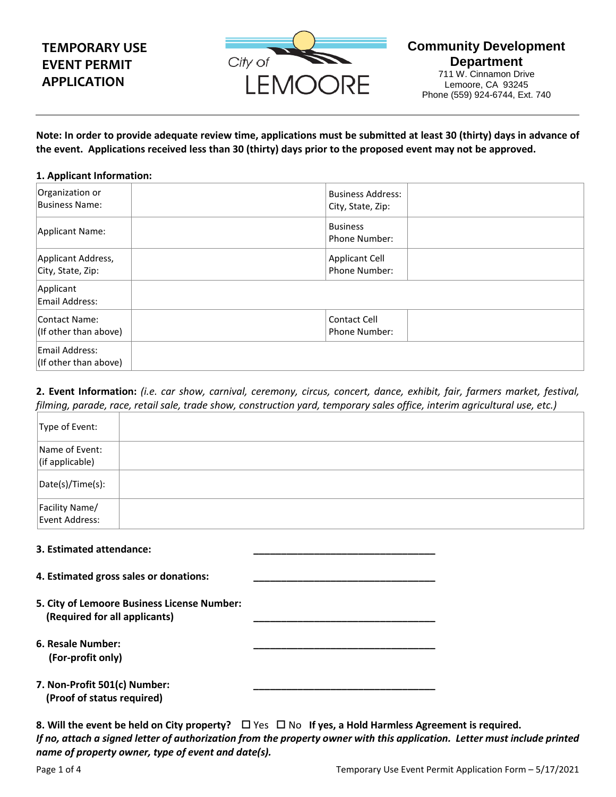# **TEMPORARY USE EVENT PERMIT APPLICATION**



**Community Development Department**

711 W. Cinnamon Drive Lemoore, CA 93245 Phone (559) 924-6744, Ext. 740

**Note: In order to provide adequate review time, applications must be submitted at least 30 (thirty) days in advance of the event. Applications received less than 30 (thirty) days prior to the proposed event may not be approved.**

### **1. Applicant Information:**

| Organization or<br>Business Name:           | <b>Business Address:</b><br>City, State, Zip: |  |
|---------------------------------------------|-----------------------------------------------|--|
| Applicant Name:                             | <b>Business</b><br>Phone Number:              |  |
| Applicant Address,<br>City, State, Zip:     | <b>Applicant Cell</b><br>Phone Number:        |  |
| Applicant<br>Email Address:                 |                                               |  |
| Contact Name:<br>$ $ (If other than above)  | Contact Cell<br><b>Phone Number:</b>          |  |
| Email Address:<br>$ $ (If other than above) |                                               |  |

**2. Event Information:** *(i.e. car show, carnival, ceremony, circus, concert, dance, exhibit, fair, farmers market, festival, filming, parade, race, retail sale, trade show, construction yard, temporary sales office, interim agricultural use, etc.)*

| Type of Event:                            |  |
|-------------------------------------------|--|
| Name of Event:<br>$\vert$ (if applicable) |  |
| $\vert$ Date(s)/Time(s):                  |  |
| Facility Name/<br>Event Address:          |  |

### **3. Estimated attendance: \_\_\_\_\_\_\_\_\_\_\_\_\_\_\_\_\_\_\_\_\_\_\_\_\_\_\_\_\_\_\_\_\_**

- **4. Estimated gross sales or donations: \_\_\_\_\_\_\_\_\_\_\_\_\_\_\_\_\_\_\_\_\_\_\_\_\_\_\_\_\_\_\_\_\_**
- **5. City of Lemoore Business License Number: (Required for all applicants) \_\_\_\_\_\_\_\_\_\_\_\_\_\_\_\_\_\_\_\_\_\_\_\_\_\_\_\_\_\_\_\_\_**
- **6. Resale Number: \_\_\_\_\_\_\_\_\_\_\_\_\_\_\_\_\_\_\_\_\_\_\_\_\_\_\_\_\_\_\_\_\_ (For-profit only)**

| 7. Non-Profit 501(c) Number: |  |
|------------------------------|--|
| (Proof of status required)   |  |

**8. Will the event be held on City property?** □ Yes □ No If yes, a Hold Harmless Agreement is required. *If no, attach a signed letter of authorization from the property owner with this application. Letter must include printed name of property owner, type of event and date(s).*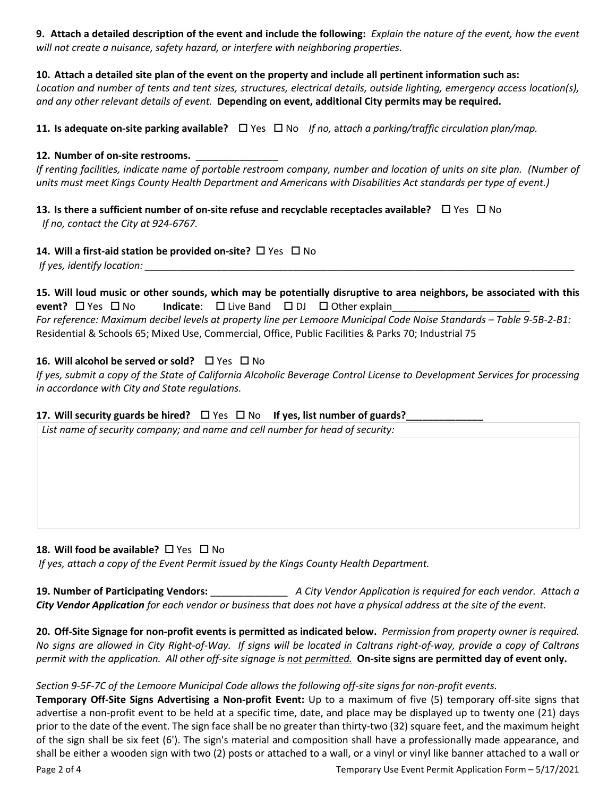**9. Attach a detailed description of the event and include the following:** *Explain the nature of the event, how the event will not create a nuisance, safety hazard, or interfere with neighboring properties.*

# **10. Attach a detailed site plan of the event on the property and include all pertinent information such as:**

*Location and number of tents and tent sizes, structures, electrical details, outside lighting, emergency access location(s), and any other relevant details of event.* **Depending on event, additional City permits may be required.**

**11.** Is adequate on-site parking available?  $\Box$  Yes  $\Box$  No *If no,* attach a parking/traffic circulation plan/map.

## **12. Number of on-site restrooms.** \_\_\_\_\_\_\_\_\_\_\_\_\_\_\_

*If renting facilities, indicate name of portable restroom company, number and location of units on site plan. (Number of units must meet Kings County Health Department and Americans with Disabilities Act standards per type of event.)*

**13.** Is there a sufficient number of on-site refuse and recyclable receptacles available?  $\Box$  Yes  $\Box$  No *If no, contact the City at 924-6767.* 

# **14. Will a first-aid station be provided on-site?** □ Yes □ No

*If yes, identify location:* 

**15. Will loud music or other sounds, which may be potentially disruptive to area neighbors, be associated with this event?**  $\Box$  Yes  $\Box$  No **Indicate**:  $\Box$  Live Band  $\Box$  DJ  $\Box$  Other explain *For reference: Maximum decibel levels at property line per Lemoore Municipal Code Noise Standards – Table 9-5B-2-B1:*  Residential & Schools 65; Mixed Use, Commercial, Office, Public Facilities & Parks 70; Industrial 75

# **16. Will alcohol be served or sold?**  $\Box$  Yes  $\Box$  No

*If yes, submit a copy of the State of California Alcoholic Beverage Control License to Development Services for processing in accordance with City and State regulations.*

## 17. Will security guards be hired?  $\Box$  Yes  $\Box$  No If yes, list number of guards?

*List name of security company; and name and cell number for head of security:*

## **18. Will food be available?** □ Yes □ No

*If yes, attach a copy of the Event Permit issued by the Kings County Health Department.*

**19. Number of Participating Vendors:** \_\_\_\_\_\_\_\_\_\_\_\_\_\_ *A City Vendor Application is required for each vendor. Attach a City Vendor Application for each vendor or business that does not have a physical address at the site of the event.*

**20. Off-Site Signage for non-profit events is permitted as indicated below.** *Permission from property owner is required. No signs are allowed in City Right-of-Way. If signs will be located in Caltrans right-of-way, provide a copy of Caltrans permit with the application. All other off-site signage is not permitted.* **On-site signs are permitted day of event only.**

## *Section 9-5F-7C of the Lemoore Municipal Code allows the following off-site signs for non-profit events.*

**Temporary Off-Site Signs Advertising a Non-profit Event:** Up to a maximum of five (5) temporary off-site signs that advertise a non-profit event to be held at a specific time, date, and place may be displayed up to twenty one (21) days prior to the date of the event. The sign face shall be no greater than thirty-two (32) square feet, and the maximum height of the sign shall be six feet (6'). The sign's material and composition shall have a professionally made appearance, and shall be either a wooden sign with two (2) posts or attached to a wall, or a vinyl or vinyl like banner attached to a wall or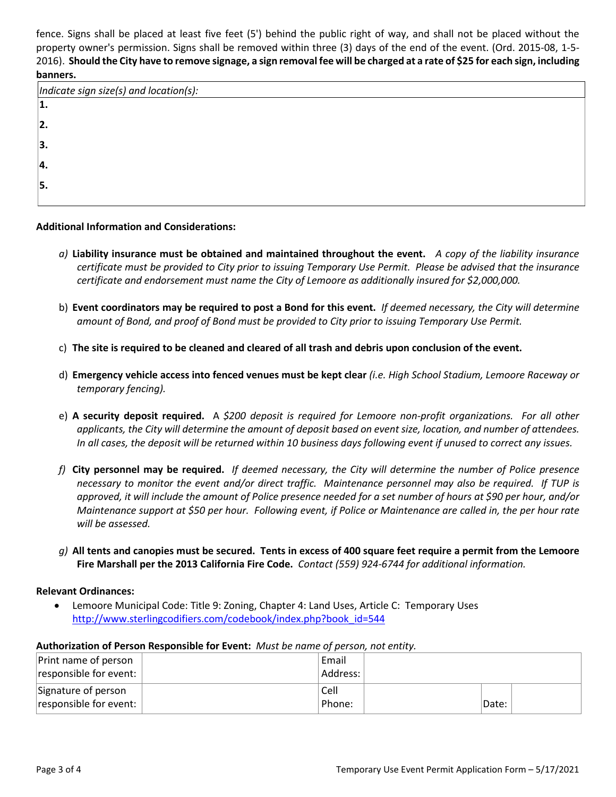fence. Signs shall be placed at least five feet (5') behind the public right of way, and shall not be placed without the property owner's permission. Signs shall be removed within three (3) days of the end of the event. (Ord. 2015-08, 1-5- 2016). **Should the City have to remove signage, a sign removal fee will be charged at a rate of \$25 for each sign, including banners.**

| Indicate sign size(s) and location(s): |  |
|----------------------------------------|--|
|                                        |  |
|                                        |  |
|                                        |  |
|                                        |  |
|                                        |  |
|                                        |  |

**Additional Information and Considerations:**

- *a)* **Liability insurance must be obtained and maintained throughout the event.** *A copy of the liability insurance certificate must be provided to City prior to issuing Temporary Use Permit. Please be advised that the insurance certificate and endorsement must name the City of Lemoore as additionally insured for \$2,000,000.*
- b) **Event coordinators may be required to post a Bond for this event.** *If deemed necessary, the City will determine amount of Bond, and proof of Bond must be provided to City prior to issuing Temporary Use Permit.*
- c) **The site is required to be cleaned and cleared of all trash and debris upon conclusion of the event.**
- d) **Emergency vehicle access into fenced venues must be kept clear** *(i.e. High School Stadium, Lemoore Raceway or temporary fencing).*
- e) **A security deposit required.** A *\$200 deposit is required for Lemoore non-profit organizations. For all other applicants, the City will determine the amount of deposit based on event size, location, and number of attendees. In all cases, the deposit will be returned within 10 business days following event if unused to correct any issues.*
- *f)* **City personnel may be required.** *If deemed necessary, the City will determine the number of Police presence necessary to monitor the event and/or direct traffic. Maintenance personnel may also be required. If TUP is approved, it will include the amount of Police presence needed for a set number of hours at \$90 per hour, and/or Maintenance support at \$50 per hour. Following event, if Police or Maintenance are called in, the per hour rate will be assessed.*
- *g)* **All tents and canopies must be secured. Tents in excess of 400 square feet require a permit from the Lemoore Fire Marshall per the 2013 California Fire Code.** *Contact (559) 924-6744 for additional information.*

### **Relevant Ordinances:**

• Lemoore Municipal Code: Title 9: Zoning, Chapter 4: Land Uses, Article C: Temporary Uses http://www.sterlingcodifiers.com/codebook/index.php?book\_id=544

### **Authorization of Person Responsible for Event:** *Must be name of person, not entity.*

| Print name of person   | Email    |       |  |
|------------------------|----------|-------|--|
| responsible for event: | Address: |       |  |
| Signature of person    | Cell     |       |  |
| responsible for event: | Phone:   | Date: |  |